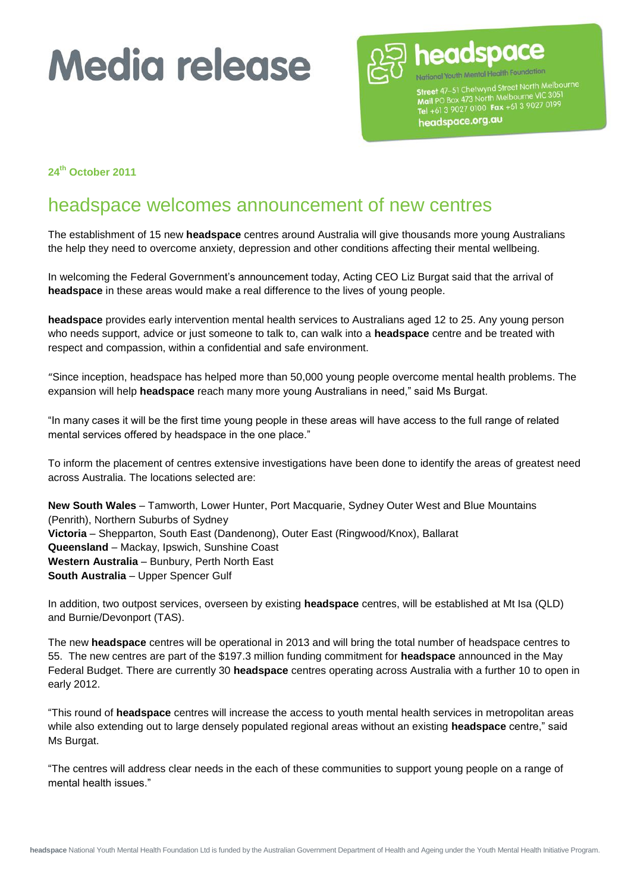

National Youth Mental Health Foundation Street 47-51 Chetwynd Street North Melbourne Street 47–51 Cherwyno Sileet North<br>Mail PO Box 473 North Melbourne VIC 305<br>Tel +61 3 9027 0100 Fax +61 3 9027 0199 headspace.org.au

**24th October 2011**

### headspace welcomes announcement of new centres

The establishment of 15 new **headspace** centres around Australia will give thousands more young Australians the help they need to overcome anxiety, depression and other conditions affecting their mental wellbeing.

In welcoming the Federal Government's announcement today, Acting CEO Liz Burgat said that the arrival of **headspace** in these areas would make a real difference to the lives of young people.

**headspace** provides early intervention mental health services to Australians aged 12 to 25. Any young person who needs support, advice or just someone to talk to, can walk into a **headspace** centre and be treated with respect and compassion, within a confidential and safe environment.

"Since inception, headspace has helped more than 50,000 young people overcome mental health problems. The expansion will help **headspace** reach many more young Australians in need," said Ms Burgat.

"In many cases it will be the first time young people in these areas will have access to the full range of related mental services offered by headspace in the one place."

To inform the placement of centres extensive investigations have been done to identify the areas of greatest need across Australia. The locations selected are:

**New South Wales** – Tamworth, Lower Hunter, Port Macquarie, Sydney Outer West and Blue Mountains (Penrith), Northern Suburbs of Sydney **Victoria** – Shepparton, South East (Dandenong), Outer East (Ringwood/Knox), Ballarat **Queensland** – Mackay, Ipswich, Sunshine Coast **Western Australia** – Bunbury, Perth North East **South Australia** – Upper Spencer Gulf

In addition, two outpost services, overseen by existing **headspace** centres, will be established at Mt Isa (QLD) and Burnie/Devonport (TAS).

The new **headspace** centres will be operational in 2013 and will bring the total number of headspace centres to 55. The new centres are part of the \$197.3 million funding commitment for **headspace** announced in the May Federal Budget. There are currently 30 **headspace** centres operating across Australia with a further 10 to open in early 2012.

"This round of **headspace** centres will increase the access to youth mental health services in metropolitan areas while also extending out to large densely populated regional areas without an existing **headspace** centre," said Ms Burgat.

"The centres will address clear needs in the each of these communities to support young people on a range of mental health issues."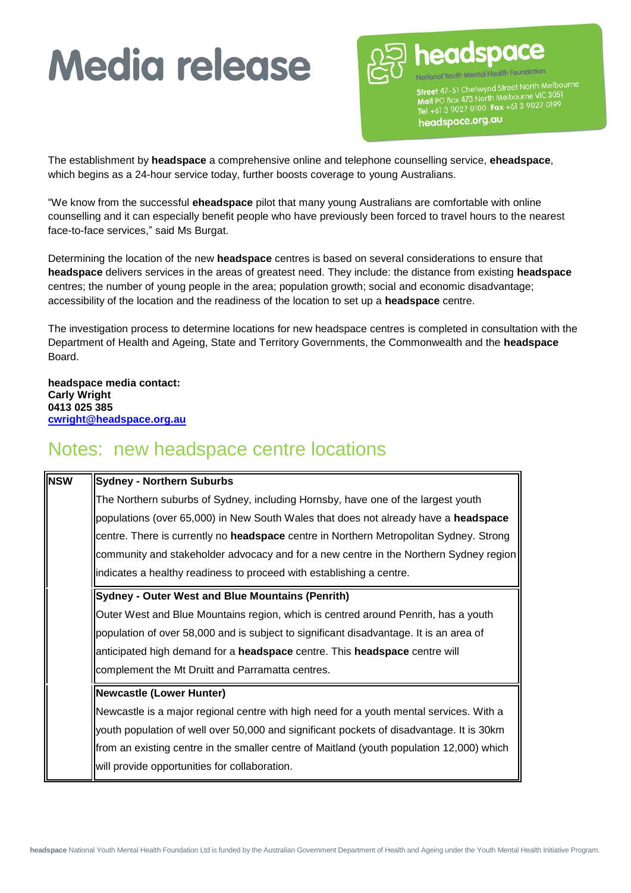

Street 47-51 Chetwynd Street North Melbourne Street 47–51 Cherwyno Sireet Norman<br>Mail PO Box 473 North Melbourne VIC 3051<br>Tel +61 3 9027 0100 Fax +61 3 9027 0199 headspace.org.au

The establishment by **headspace** a comprehensive online and telephone counselling service, **eheadspace**, which begins as a 24-hour service today, further boosts coverage to young Australians.

"We know from the successful **eheadspace** pilot that many young Australians are comfortable with online counselling and it can especially benefit people who have previously been forced to travel hours to the nearest face-to-face services," said Ms Burgat.

Determining the location of the new **headspace** centres is based on several considerations to ensure that **headspace** delivers services in the areas of greatest need. They include: the distance from existing **headspace**  centres; the number of young people in the area; population growth; social and economic disadvantage; accessibility of the location and the readiness of the location to set up a **headspace** centre.

The investigation process to determine locations for new headspace centres is completed in consultation with the Department of Health and Ageing, State and Territory Governments, the Commonwealth and the **headspace** Board.

**headspace media contact: Carly Wright 0413 025 385 [cwright@headspace.org.au](mailto:cwright@headspace.org.au)**

### Notes: new headspace centre locations

| <b>I</b> nsw | <b>Sydney - Northern Suburbs</b>                                                          |
|--------------|-------------------------------------------------------------------------------------------|
|              | The Northern suburbs of Sydney, including Hornsby, have one of the largest youth          |
|              | populations (over 65,000) in New South Wales that does not already have a headspace       |
|              | centre. There is currently no headspace centre in Northern Metropolitan Sydney. Strong    |
|              | community and stakeholder advocacy and for a new centre in the Northern Sydney region     |
|              | indicates a healthy readiness to proceed with establishing a centre.                      |
|              | <b>Sydney - Outer West and Blue Mountains (Penrith)</b>                                   |
|              | Outer West and Blue Mountains region, which is centred around Penrith, has a youth        |
|              | population of over 58,000 and is subject to significant disadvantage. It is an area of    |
|              | anticipated high demand for a headspace centre. This headspace centre will                |
|              | complement the Mt Druitt and Parramatta centres.                                          |
|              | <b>Newcastle (Lower Hunter)</b>                                                           |
|              | Newcastle is a major regional centre with high need for a youth mental services. With a   |
|              | youth population of well over 50,000 and significant pockets of disadvantage. It is 30km  |
|              | from an existing centre in the smaller centre of Maitland (youth population 12,000) which |
|              | will provide opportunities for collaboration.                                             |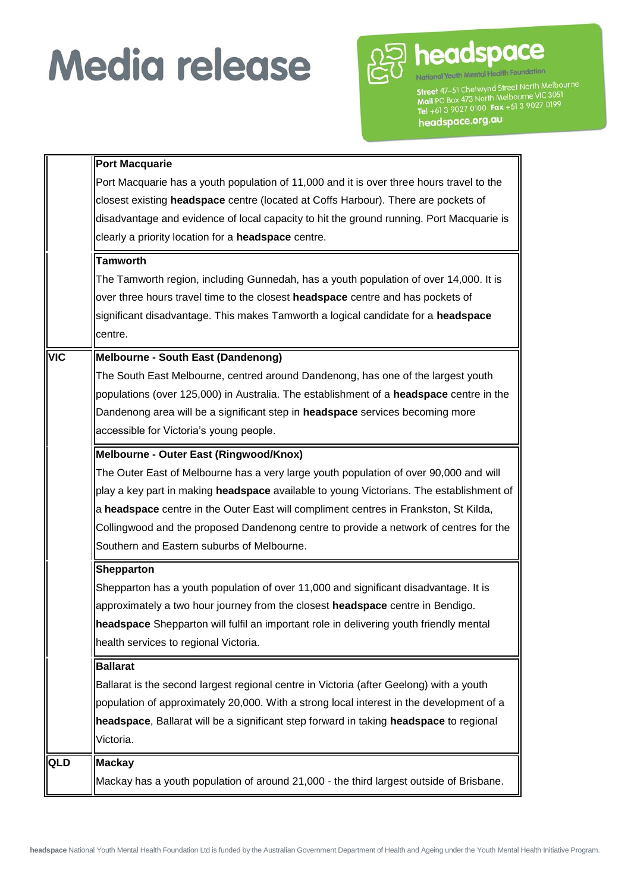

Street 47–51 Chetwynd Street North Melbourne<br>Tra North Melbourne VIC 3051 **Street** 47–51 Chetwyno Site Prochors VC 3051<br>Mail PO Box 473 North Melbourne VIC 3051<br>Tel +61 3 9027 0100 Fax +61 3 9027 0199 headspace.org.au

**Port Macquarie** Port Macquarie has a youth population of 11,000 and it is over three hours travel to the closest existing **headspace** centre (located at Coffs Harbour). There are pockets of disadvantage and evidence of local capacity to hit the ground running. Port Macquarie is clearly a priority location for a **headspace** centre. **Tamworth** The Tamworth region, including Gunnedah, has a youth population of over 14,000. It is over three hours travel time to the closest **headspace** centre and has pockets of significant disadvantage. This makes Tamworth a logical candidate for a **headspace** centre. **VIC Melbourne - South East (Dandenong)** The South East Melbourne, centred around Dandenong, has one of the largest youth populations (over 125,000) in Australia. The establishment of a **headspace** centre in the Dandenong area will be a significant step in **headspace** services becoming more accessible for Victoria's young people. **Melbourne - Outer East (Ringwood/Knox)**  The Outer East of Melbourne has a very large youth population of over 90,000 and will play a key part in making **headspace** available to young Victorians. The establishment of a **headspace** centre in the Outer East will compliment centres in Frankston, St Kilda, Collingwood and the proposed Dandenong centre to provide a network of centres for the Southern and Eastern suburbs of Melbourne. **Shepparton** Shepparton has a youth population of over 11,000 and significant disadvantage. It is approximately a two hour journey from the closest **headspace** centre in Bendigo. **headspace** Shepparton will fulfil an important role in delivering youth friendly mental health services to regional Victoria. **Ballarat** Ballarat is the second largest regional centre in Victoria (after Geelong) with a youth population of approximately 20,000. With a strong local interest in the development of a **headspace**, Ballarat will be a significant step forward in taking **headspace** to regional Victoria. QLD **Mackay** Mackay has a youth population of around 21,000 - the third largest outside of Brisbane.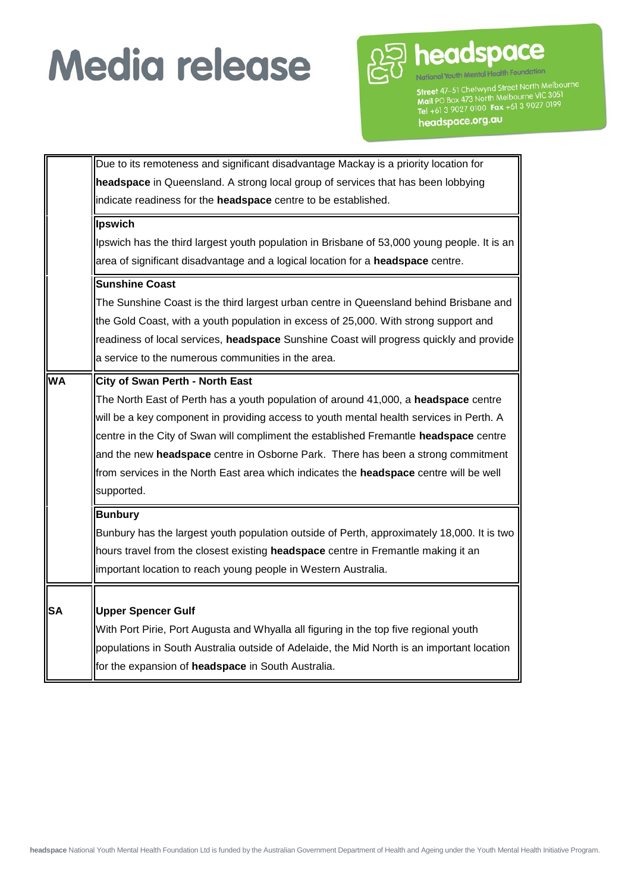

Street 47–51 Chetwynd Street North Melbourne **Street** 47–51 Chetwyno Site Prochors VC 3051<br>Mail PO Box 473 North Melbourne VIC 3051<br>Tel +61 3 9027 0100 Fax +61 3 9027 0199 headspace.org.au

Due to its remoteness and significant disadvantage Mackay is a priority location for **headspace** in Queensland. A strong local group of services that has been lobbying indicate readiness for the **headspace** centre to be established. **Ipswich**  Ipswich has the third largest youth population in Brisbane of 53,000 young people. It is an area of significant disadvantage and a logical location for a **headspace** centre. **Sunshine Coast** The Sunshine Coast is the third largest urban centre in Queensland behind Brisbane and the Gold Coast, with a youth population in excess of 25,000. With strong support and readiness of local services, **headspace** Sunshine Coast will progress quickly and provide a service to the numerous communities in the area. **WA City of Swan Perth - North East** The North East of Perth has a youth population of around 41,000, a **headspace** centre will be a key component in providing access to youth mental health services in Perth. A centre in the City of Swan will compliment the established Fremantle **headspace** centre and the new **headspace** centre in Osborne Park. There has been a strong commitment from services in the North East area which indicates the **headspace** centre will be well supported. **Bunbury** Bunbury has the largest youth population outside of Perth, approximately 18,000. It is two hours travel from the closest existing **headspace** centre in Fremantle making it an important location to reach young people in Western Australia. **SA Upper Spencer Gulf**  With Port Pirie, Port Augusta and Whyalla all figuring in the top five regional youth populations in South Australia outside of Adelaide, the Mid North is an important location for the expansion of **headspace** in South Australia.